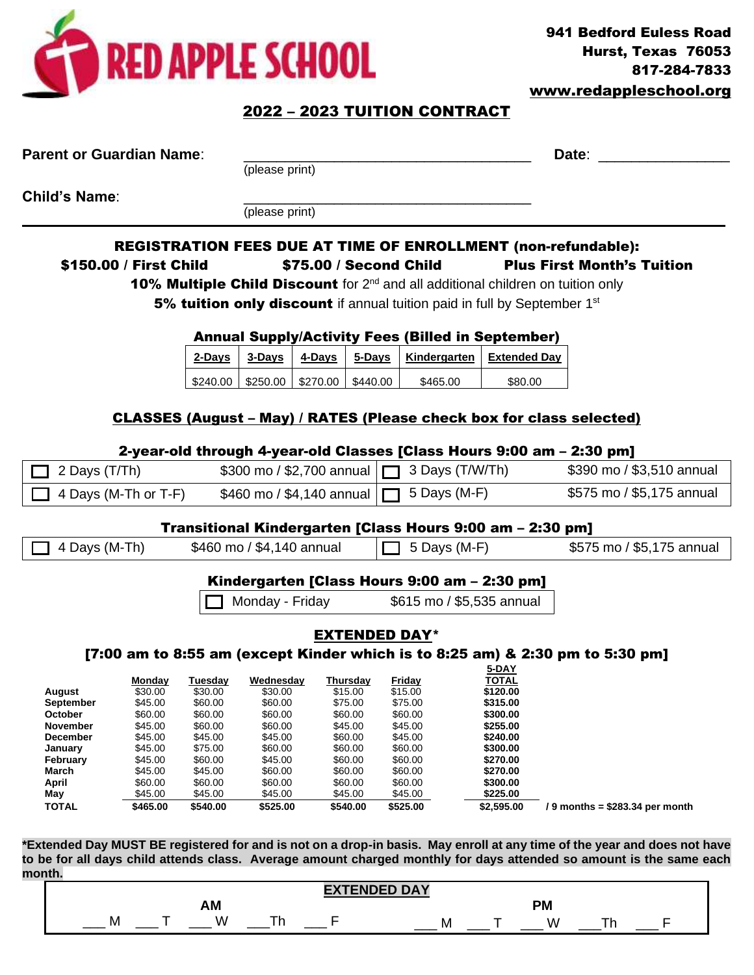

## 2022 – 2023 TUITION CONTRACT

| <b>Parent or Guardian Name:</b> |                        |                    |                                              |                        | Date:                |                                                                                 |                       |                                                                                                                          |
|---------------------------------|------------------------|--------------------|----------------------------------------------|------------------------|----------------------|---------------------------------------------------------------------------------|-----------------------|--------------------------------------------------------------------------------------------------------------------------|
|                                 |                        |                    | (please print)                               |                        |                      |                                                                                 |                       |                                                                                                                          |
| <b>Child's Name:</b>            |                        |                    |                                              |                        |                      |                                                                                 |                       |                                                                                                                          |
|                                 |                        | (please print)     |                                              |                        |                      |                                                                                 |                       |                                                                                                                          |
|                                 |                        |                    |                                              |                        |                      |                                                                                 |                       | REGISTRATION FEES DUE AT TIME OF ENROLLMENT (non-refundable):                                                            |
|                                 | \$150.00 / First Child |                    |                                              | \$75.00 / Second Child |                      |                                                                                 |                       | <b>Plus First Month's Tuition</b>                                                                                        |
|                                 |                        |                    |                                              |                        |                      |                                                                                 |                       | 10% Multiple Child Discount for 2 <sup>nd</sup> and all additional children on tuition only                              |
|                                 |                        |                    |                                              |                        |                      | 5% tuition only discount if annual tuition paid in full by September 1st        |                       |                                                                                                                          |
|                                 |                        |                    |                                              |                        |                      |                                                                                 |                       |                                                                                                                          |
|                                 |                        |                    | 3-Days                                       | 4-Days                 | 5-Days               | <b>Annual Supply/Activity Fees (Billed in September)</b><br><b>Kindergarten</b> | <b>Extended Day</b>   |                                                                                                                          |
|                                 |                        | 2-Days             |                                              |                        |                      |                                                                                 |                       |                                                                                                                          |
|                                 |                        | \$240.00           | \$250.00                                     | \$270.00               | \$440.00             | \$465.00                                                                        | \$80.00               |                                                                                                                          |
|                                 |                        |                    |                                              |                        |                      |                                                                                 |                       |                                                                                                                          |
|                                 |                        |                    |                                              |                        |                      |                                                                                 |                       | <b>CLASSES (August – May) / RATES (Please check box for class selected)</b>                                              |
|                                 |                        |                    |                                              |                        |                      |                                                                                 |                       |                                                                                                                          |
|                                 |                        |                    |                                              |                        |                      |                                                                                 |                       | 2-year-old through 4-year-old Classes [Class Hours 9:00 am - 2:30 pm]                                                    |
| 2 Days (T/Th)                   |                        |                    | \$300 mo / \$2,700 annual                    |                        |                      | 3 Days (T/W/Th)                                                                 |                       | \$390 mo / \$3,510 annual                                                                                                |
|                                 | 4 Days (M-Th or T-F)   |                    | \$460 mo / \$4,140 annual                    |                        |                      | 5 Days (M-F)                                                                    |                       | \$575 mo / \$5,175 annual                                                                                                |
|                                 |                        |                    |                                              |                        |                      |                                                                                 |                       |                                                                                                                          |
|                                 |                        |                    | \$460 mo / \$4,140 annual                    |                        |                      | Transitional Kindergarten [Class Hours 9:00 am - 2:30 pm]<br>5 Days (M-F)       |                       | \$575 mo / \$5,175 annual                                                                                                |
| 4 Days (M-Th)                   |                        |                    |                                              |                        |                      |                                                                                 |                       |                                                                                                                          |
|                                 |                        |                    |                                              |                        |                      | Kindergarten [Class Hours 9:00 am - 2:30 pm]                                    |                       |                                                                                                                          |
|                                 |                        |                    | Monday - Friday<br>\$615 mo / \$5,535 annual |                        |                      |                                                                                 |                       |                                                                                                                          |
|                                 |                        |                    |                                              |                        |                      |                                                                                 |                       |                                                                                                                          |
|                                 |                        |                    |                                              |                        | <b>EXTENDED DAY*</b> |                                                                                 |                       |                                                                                                                          |
|                                 |                        |                    |                                              |                        |                      |                                                                                 |                       | $[7:00$ am to 8:55 am (except Kinder which is to 8:25 am) & 2:30 pm to 5:30 pm]                                          |
|                                 |                        |                    | Monday Tuesday Wednesday Thursday Friday     |                        |                      |                                                                                 | 5-DAY<br><b>TOTAL</b> |                                                                                                                          |
| August                          | \$30.00                | \$30.00            | \$30.00                                      | \$15.00                |                      | \$15.00                                                                         | \$120.00              |                                                                                                                          |
| September                       | \$45.00                | \$60.00            | \$60.00                                      | \$75.00                |                      | \$75.00                                                                         | \$315.00              |                                                                                                                          |
| October                         | \$60.00<br>\$45.00     | \$60.00<br>\$60.00 | \$60.00<br>\$60.00                           | \$60.00<br>\$45.00     |                      | \$60.00<br>\$45.00                                                              | \$300.00<br>\$255.00  |                                                                                                                          |
| November<br><b>December</b>     | \$45.00                | \$45.00            | \$45.00                                      | \$60.00                |                      | \$45.00                                                                         | \$240.00              |                                                                                                                          |
| January                         | \$45.00                | \$75.00            | \$60.00                                      | \$60.00                |                      | \$60.00                                                                         | \$300.00              |                                                                                                                          |
| February                        | \$45.00                | \$60.00            | \$45.00                                      | \$60.00                |                      | \$60.00                                                                         | \$270.00              |                                                                                                                          |
| March                           | \$45.00                | \$45.00            | \$60.00                                      | \$60.00                |                      | \$60.00                                                                         | \$270.00              |                                                                                                                          |
| April                           | \$60.00                | \$60.00            | \$60.00                                      | \$60.00                |                      | \$60.00                                                                         | \$300.00              |                                                                                                                          |
| May                             | \$45.00                | \$45.00            | \$45.00                                      | \$45.00                |                      | \$45.00                                                                         | \$225.00              |                                                                                                                          |
| <b>TOTAL</b>                    | \$465.00               | \$540.00           | \$525.00                                     | \$540.00               |                      | \$525.00                                                                        | \$2,595.00            | $/ 9$ months = \$283.34 per month                                                                                        |
|                                 |                        |                    |                                              |                        |                      |                                                                                 |                       |                                                                                                                          |
|                                 |                        |                    |                                              |                        |                      |                                                                                 |                       | *Extended Day MUST BE registered for and is not on a drop-in basis. May enroll at any time of the year and does not have |
|                                 |                        |                    |                                              |                        |                      |                                                                                 |                       | to be for all days child attends class. Average amount charged monthly for days attended so amount is the same each      |
| month.                          |                        |                    |                                              |                        |                      |                                                                                 |                       |                                                                                                                          |
|                                 |                        |                    |                                              |                        | <b>EXTENDED DAY</b>  |                                                                                 |                       |                                                                                                                          |

| EXTENDED DAY |  |    |  |  |     |  |            |  |  |  |  |
|--------------|--|----|--|--|-----|--|------------|--|--|--|--|
|              |  |    |  |  |     |  | W<br>- --- |  |  |  |  |
| M            |  | л. |  |  | ΙVΙ |  |            |  |  |  |  |